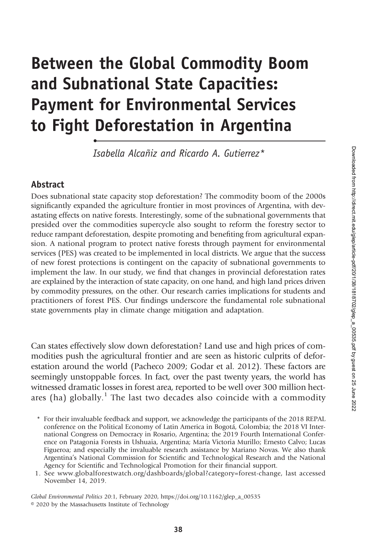# Between the Global Commodity Boom and Subnational State Capacities: Payment for Environmental Services to Fight Deforestation in Argentina

Isabella Alcañiz and Ricardo A. Gutierrez\*

### Abstract

•

Does subnational state capacity stop deforestation? The commodity boom of the 2000s significantly expanded the agriculture frontier in most provinces of Argentina, with devastating effects on native forests. Interestingly, some of the subnational governments that presided over the commodities supercycle also sought to reform the forestry sector to reduce rampant deforestation, despite promoting and benefiting from agricultural expansion. A national program to protect native forests through payment for environmental services (PES) was created to be implemented in local districts. We argue that the success of new forest protections is contingent on the capacity of subnational governments to implement the law. In our study, we find that changes in provincial deforestation rates are explained by the interaction of state capacity, on one hand, and high land prices driven by commodity pressures, on the other. Our research carries implications for students and practitioners of forest PES. Our findings underscore the fundamental role subnational state governments play in climate change mitigation and adaptation.

Can states effectively slow down deforestation? Land use and high prices of commodities push the agricultural frontier and are seen as historic culprits of deforestation around the world (Pacheco 2009; Godar et al. 2012). These factors are seemingly unstoppable forces. In fact, over the past twenty years, the world has witnessed dramatic losses in forest area, reported to be well over 300 million hectares (ha) globally.<sup>1</sup> The last two decades also coincide with a commodity

Global Environmental Politics 20:1, February 2020, https://doi.org/10.1162/glep\_a\_00535 © 2020 by the Massachusetts Institute of Technology

<sup>\*</sup> For their invaluable feedback and support, we acknowledge the participants of the 2018 REPAL conference on the Political Economy of Latin America in Bogotá, Colombia; the 2018 VI International Congress on Democracy in Rosario, Argentina; the 2019 Fourth International Conference on Patagonia Forests in Ushuaia, Argentina; María Victoria Murillo; Ernesto Calvo; Lucas Figueroa; and especially the invaluable research assistance by Mariano Novas. We also thank Argentina's National Commission for Scientific and Technological Research and the National Agency for Scientific and Technological Promotion for their financial support.

<sup>1.</sup> See www.globalforestwatch.org/dashboards/global?category=forest-change, last accessed November 14, 2019.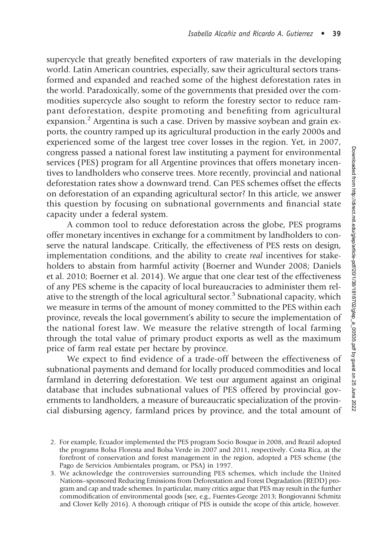supercycle that greatly benefited exporters of raw materials in the developing world. Latin American countries, especially, saw their agricultural sectors transformed and expanded and reached some of the highest deforestation rates in the world. Paradoxically, some of the governments that presided over the commodities supercycle also sought to reform the forestry sector to reduce rampant deforestation, despite promoting and benefiting from agricultural expansion.<sup>2</sup> Argentina is such a case. Driven by massive soybean and grain exports, the country ramped up its agricultural production in the early 2000s and experienced some of the largest tree cover losses in the region. Yet, in 2007, congress passed a national forest law instituting a payment for environmental services (PES) program for all Argentine provinces that offers monetary incentives to landholders who conserve trees. More recently, provincial and national deforestation rates show a downward trend. Can PES schemes offset the effects on deforestation of an expanding agricultural sector? In this article, we answer this question by focusing on subnational governments and financial state capacity under a federal system.

A common tool to reduce deforestation across the globe, PES programs offer monetary incentives in exchange for a commitment by landholders to conserve the natural landscape. Critically, the effectiveness of PES rests on design, implementation conditions, and the ability to create real incentives for stakeholders to abstain from harmful activity (Boerner and Wunder 2008; Daniels et al. 2010; Boerner et al. 2014). We argue that one clear test of the effectiveness of any PES scheme is the capacity of local bureaucracies to administer them relative to the strength of the local agricultural sector.<sup>3</sup> Subnational capacity, which we measure in terms of the amount of money committed to the PES within each province, reveals the local government's ability to secure the implementation of the national forest law. We measure the relative strength of local farming through the total value of primary product exports as well as the maximum price of farm real estate per hectare by province.

We expect to find evidence of a trade-off between the effectiveness of subnational payments and demand for locally produced commodities and local farmland in deterring deforestation. We test our argument against an original database that includes subnational values of PES offered by provincial governments to landholders, a measure of bureaucratic specialization of the provincial disbursing agency, farmland prices by province, and the total amount of

<sup>2.</sup> For example, Ecuador implemented the PES program Socio Bosque in 2008, and Brazil adopted the programs Bolsa Floresta and Bolsa Verde in 2007 and 2011, respectively. Costa Rica, at the forefront of conservation and forest management in the region, adopted a PES scheme (the Pago de Servicios Ambientales program, or PSA) in 1997.

<sup>3.</sup> We acknowledge the controversies surrounding PES schemes, which include the United Nations–sponsored Reducing Emissions from Deforestation and Forest Degradation (REDD) program and cap and trade schemes. In particular, many critics argue that PES may result in the further commodification of environmental goods (see, e.g., Fuentes-George 2013; Bongiovanni Schmitz and Clover Kelly 2016). A thorough critique of PES is outside the scope of this article, however.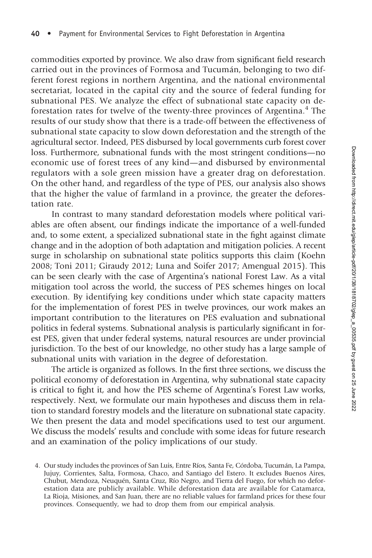commodities exported by province. We also draw from significant field research carried out in the provinces of Formosa and Tucumán, belonging to two different forest regions in northern Argentina, and the national environmental secretariat, located in the capital city and the source of federal funding for subnational PES. We analyze the effect of subnational state capacity on deforestation rates for twelve of the twenty-three provinces of Argentina.<sup>4</sup> The results of our study show that there is a trade-off between the effectiveness of subnational state capacity to slow down deforestation and the strength of the agricultural sector. Indeed, PES disbursed by local governments curb forest cover loss. Furthermore, subnational funds with the most stringent conditions—no economic use of forest trees of any kind—and disbursed by environmental regulators with a sole green mission have a greater drag on deforestation. On the other hand, and regardless of the type of PES, our analysis also shows that the higher the value of farmland in a province, the greater the deforestation rate.

In contrast to many standard deforestation models where political variables are often absent, our findings indicate the importance of a well-funded and, to some extent, a specialized subnational state in the fight against climate change and in the adoption of both adaptation and mitigation policies. A recent surge in scholarship on subnational state politics supports this claim (Koehn 2008; Toni 2011; Giraudy 2012; Luna and Soifer 2017; Amengual 2015). This can be seen clearly with the case of Argentina's national Forest Law. As a vital mitigation tool across the world, the success of PES schemes hinges on local execution. By identifying key conditions under which state capacity matters for the implementation of forest PES in twelve provinces, our work makes an important contribution to the literatures on PES evaluation and subnational politics in federal systems. Subnational analysis is particularly significant in forest PES, given that under federal systems, natural resources are under provincial jurisdiction. To the best of our knowledge, no other study has a large sample of subnational units with variation in the degree of deforestation.

The article is organized as follows. In the first three sections, we discuss the political economy of deforestation in Argentina, why subnational state capacity is critical to fight it, and how the PES scheme of Argentina's Forest Law works, respectively. Next, we formulate our main hypotheses and discuss them in relation to standard forestry models and the literature on subnational state capacity. We then present the data and model specifications used to test our argument. We discuss the models' results and conclude with some ideas for future research and an examination of the policy implications of our study.

<sup>4.</sup> Our study includes the provinces of San Luis, Entre Ríos, Santa Fe, Córdoba, Tucumán, La Pampa, Jujuy, Corrientes, Salta, Formosa, Chaco, and Santiago del Estero. It excludes Buenos Aires, Chubut, Mendoza, Neuquén, Santa Cruz, Río Negro, and Tierra del Fuego, for which no deforestation data are publicly available. While deforestation data are available for Catamarca, La Rioja, Misiones, and San Juan, there are no reliable values for farmland prices for these four provinces. Consequently, we had to drop them from our empirical analysis.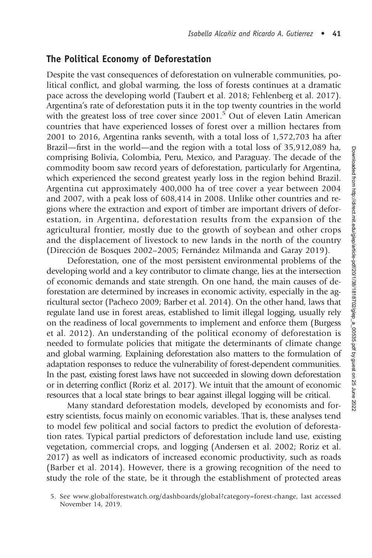# The Political Economy of Deforestation

Despite the vast consequences of deforestation on vulnerable communities, political conflict, and global warming, the loss of forests continues at a dramatic pace across the developing world (Taubert et al. 2018; Fehlenberg et al. 2017). Argentina's rate of deforestation puts it in the top twenty countries in the world with the greatest loss of tree cover since  $2001<sup>5</sup>$  Out of eleven Latin American countries that have experienced losses of forest over a million hectares from 2001 to 2016, Argentina ranks seventh, with a total loss of 1,572,703 ha after Brazil—first in the world—and the region with a total loss of 35,912,089 ha, comprising Bolivia, Colombia, Peru, Mexico, and Paraguay. The decade of the commodity boom saw record years of deforestation, particularly for Argentina, which experienced the second greatest yearly loss in the region behind Brazil. Argentina cut approximately 400,000 ha of tree cover a year between 2004 and 2007, with a peak loss of 608,414 in 2008. Unlike other countries and regions where the extraction and export of timber are important drivers of deforestation, in Argentina, deforestation results from the expansion of the agricultural frontier, mostly due to the growth of soybean and other crops and the displacement of livestock to new lands in the north of the country (Dirección de Bosques 2002–2005; Fernández Milmanda and Garay 2019).

Deforestation, one of the most persistent environmental problems of the developing world and a key contributor to climate change, lies at the intersection of economic demands and state strength. On one hand, the main causes of deforestation are determined by increases in economic activity, especially in the agricultural sector (Pacheco 2009; Barber et al. 2014). On the other hand, laws that regulate land use in forest areas, established to limit illegal logging, usually rely on the readiness of local governments to implement and enforce them (Burgess et al. 2012). An understanding of the political economy of deforestation is needed to formulate policies that mitigate the determinants of climate change and global warming. Explaining deforestation also matters to the formulation of adaptation responses to reduce the vulnerability of forest-dependent communities. In the past, existing forest laws have not succeeded in slowing down deforestation or in deterring conflict (Roriz et al. 2017). We intuit that the amount of economic resources that a local state brings to bear against illegal logging will be critical.

Many standard deforestation models, developed by economists and forestry scientists, focus mainly on economic variables. That is, these analyses tend to model few political and social factors to predict the evolution of deforestation rates. Typical partial predictors of deforestation include land use, existing vegetation, commercial crops, and logging (Andersen et al. 2002; Roriz et al. 2017) as well as indicators of increased economic productivity, such as roads (Barber et al. 2014). However, there is a growing recognition of the need to study the role of the state, be it through the establishment of protected areas

<sup>5.</sup> See www.globalforestwatch.org/dashboards/global?category=forest-change, last accessed November 14, 2019.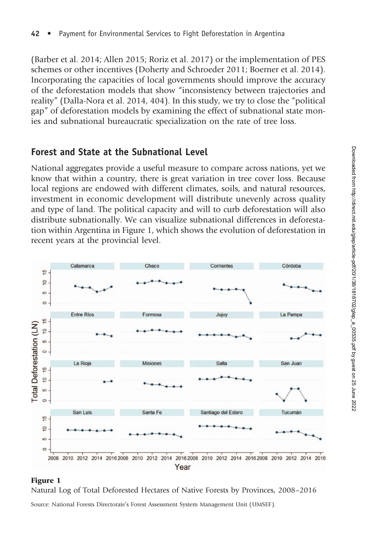(Barber et al. 2014; Allen 2015; Roriz et al. 2017) or the implementation of PES schemes or other incentives (Doherty and Schroeder 2011; Boerner et al. 2014). Incorporating the capacities of local governments should improve the accuracy of the deforestation models that show "inconsistency between trajectories and reality" (Dalla-Nora et al. 2014, 404). In this study, we try to close the "political gap" of deforestation models by examining the effect of subnational state monies and subnational bureaucratic specialization on the rate of tree loss.

# Forest and State at the Subnational Level

National aggregates provide a useful measure to compare across nations, yet we know that within a country, there is great variation in tree cover loss. Because local regions are endowed with different climates, soils, and natural resources, investment in economic development will distribute unevenly across quality and type of land. The political capacity and will to curb deforestation will also distribute subnationally. We can visualize subnational differences in deforestation within Argentina in Figure 1, which shows the evolution of deforestation in recent years at the provincial level.



**S**<sup>1</sup> T<sub>1</sub> I also 1 Total Deforested Hectares of Native Forests by Provinces, 2008–2016 Source: National Forests Directorate's Forest Assessment System Management Unit (UMSEF).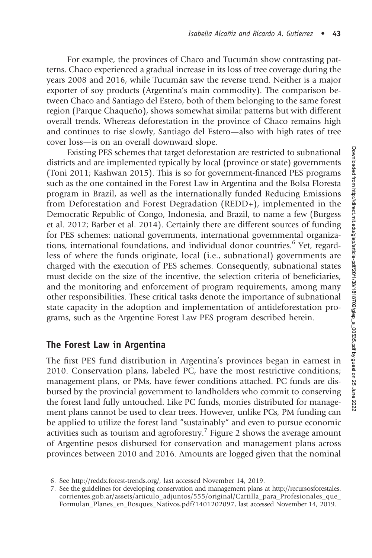For example, the provinces of Chaco and Tucumán show contrasting patterns. Chaco experienced a gradual increase in its loss of tree coverage during the years 2008 and 2016, while Tucumán saw the reverse trend. Neither is a major exporter of soy products (Argentina's main commodity). The comparison between Chaco and Santiago del Estero, both of them belonging to the same forest region (Parque Chaqueño), shows somewhat similar patterns but with different overall trends. Whereas deforestation in the province of Chaco remains high and continues to rise slowly, Santiago del Estero—also with high rates of tree cover loss—is on an overall downward slope.

Existing PES schemes that target deforestation are restricted to subnational districts and are implemented typically by local (province or state) governments (Toni 2011; Kashwan 2015). This is so for government-financed PES programs such as the one contained in the Forest Law in Argentina and the Bolsa Floresta program in Brazil, as well as the internationally funded Reducing Emissions from Deforestation and Forest Degradation (REDD+), implemented in the Democratic Republic of Congo, Indonesia, and Brazil, to name a few (Burgess et al. 2012; Barber et al. 2014). Certainly there are different sources of funding for PES schemes: national governments, international governmental organizations, international foundations, and individual donor countries.<sup>6</sup> Yet, regardless of where the funds originate, local (i.e., subnational) governments are charged with the execution of PES schemes. Consequently, subnational states must decide on the size of the incentive, the selection criteria of beneficiaries, and the monitoring and enforcement of program requirements, among many other responsibilities. These critical tasks denote the importance of subnational state capacity in the adoption and implementation of antideforestation programs, such as the Argentine Forest Law PES program described herein.

# The Forest Law in Argentina

The first PES fund distribution in Argentina's provinces began in earnest in 2010. Conservation plans, labeled PC, have the most restrictive conditions; management plans, or PMs, have fewer conditions attached. PC funds are disbursed by the provincial government to landholders who commit to conserving the forest land fully untouched. Like PC funds, monies distributed for management plans cannot be used to clear trees. However, unlike PCs, PM funding can be applied to utilize the forest land "sustainably" and even to pursue economic activities such as tourism and agroforestry.<sup>7</sup> Figure 2 shows the average amount of Argentine pesos disbursed for conservation and management plans across provinces between 2010 and 2016. Amounts are logged given that the nominal

<sup>6.</sup> See http://reddx.forest-trends.org/, last accessed November 14, 2019.

<sup>7.</sup> See the guidelines for developing conservation and management plans at http://recursosforestales. corrientes.gob.ar/assets/articulo\_adjuntos/555/original/Cartilla\_para\_Profesionales\_que\_ Formulan\_Planes\_en\_Bosques\_Nativos.pdf?1401202097, last accessed November 14, 2019.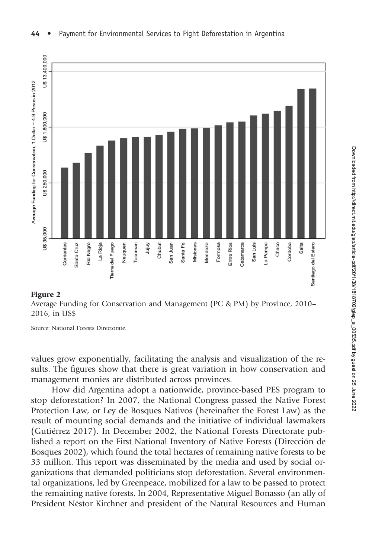

Figure 2 Average Funding for Conservation and Management (PC & PM) by Province, 2010– 2016, in US\$

Source: National Forests Directorate.

values grow exponentially, facilitating the analysis and visualization of the results. The figures show that there is great variation in how conservation and management monies are distributed across provinces.

How did Argentina adopt a nationwide, province-based PES program to stop deforestation? In 2007, the National Congress passed the Native Forest Protection Law, or Ley de Bosques Nativos (hereinafter the Forest Law) as the result of mounting social demands and the initiative of individual lawmakers (Gutiérrez 2017). In December 2002, the National Forests Directorate published a report on the First National Inventory of Native Forests (Dirección de Bosques 2002), which found the total hectares of remaining native forests to be 33 million. This report was disseminated by the media and used by social organizations that demanded politicians stop deforestation. Several environmental organizations, led by Greenpeace, mobilized for a law to be passed to protect the remaining native forests. In 2004, Representative Miguel Bonasso (an ally of President Néstor Kirchner and president of the Natural Resources and Human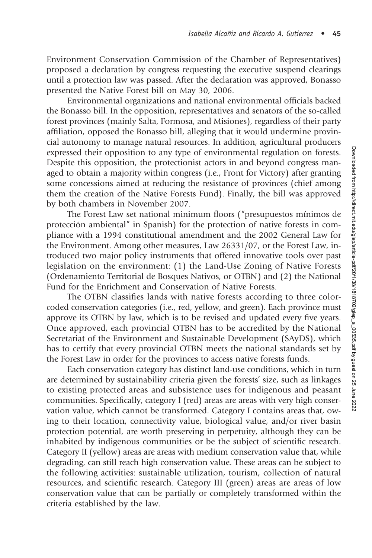Environment Conservation Commission of the Chamber of Representatives) proposed a declaration by congress requesting the executive suspend clearings until a protection law was passed. After the declaration was approved, Bonasso presented the Native Forest bill on May 30, 2006.

Environmental organizations and national environmental officials backed the Bonasso bill. In the opposition, representatives and senators of the so-called forest provinces (mainly Salta, Formosa, and Misiones), regardless of their party affiliation, opposed the Bonasso bill, alleging that it would undermine provincial autonomy to manage natural resources. In addition, agricultural producers expressed their opposition to any type of environmental regulation on forests. Despite this opposition, the protectionist actors in and beyond congress managed to obtain a majority within congress (i.e., Front for Victory) after granting some concessions aimed at reducing the resistance of provinces (chief among them the creation of the Native Forests Fund). Finally, the bill was approved by both chambers in November 2007.

The Forest Law set national minimum floors ("presupuestos mínimos de protección ambiental" in Spanish) for the protection of native forests in compliance with a 1994 constitutional amendment and the 2002 General Law for the Environment. Among other measures, Law 26331/07, or the Forest Law, introduced two major policy instruments that offered innovative tools over past legislation on the environment: (1) the Land-Use Zoning of Native Forests (Ordenamiento Territorial de Bosques Nativos, or OTBN) and (2) the National Fund for the Enrichment and Conservation of Native Forests.

The OTBN classifies lands with native forests according to three colorcoded conservation categories (i.e., red, yellow, and green). Each province must approve its OTBN by law, which is to be revised and updated every five years. Once approved, each provincial OTBN has to be accredited by the National Secretariat of the Environment and Sustainable Development (SAyDS), which has to certify that every provincial OTBN meets the national standards set by the Forest Law in order for the provinces to access native forests funds.

Each conservation category has distinct land-use conditions, which in turn are determined by sustainability criteria given the forests' size, such as linkages to existing protected areas and subsistence uses for indigenous and peasant communities. Specifically, category I (red) areas are areas with very high conservation value, which cannot be transformed. Category I contains areas that, owing to their location, connectivity value, biological value, and/or river basin protection potential, are worth preserving in perpetuity, although they can be inhabited by indigenous communities or be the subject of scientific research. Category II (yellow) areas are areas with medium conservation value that, while degrading, can still reach high conservation value. These areas can be subject to the following activities: sustainable utilization, tourism, collection of natural resources, and scientific research. Category III (green) areas are areas of low conservation value that can be partially or completely transformed within the criteria established by the law.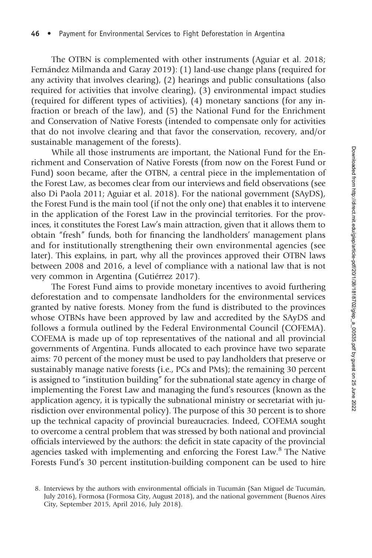The OTBN is complemented with other instruments (Aguiar et al. 2018; Fernández Milmanda and Garay 2019): (1) land-use change plans (required for any activity that involves clearing), (2) hearings and public consultations (also required for activities that involve clearing), (3) environmental impact studies (required for different types of activities), (4) monetary sanctions (for any infraction or breach of the law), and (5) the National Fund for the Enrichment and Conservation of Native Forests (intended to compensate only for activities that do not involve clearing and that favor the conservation, recovery, and/or sustainable management of the forests).

While all those instruments are important, the National Fund for the Enrichment and Conservation of Native Forests (from now on the Forest Fund or Fund) soon became, after the OTBN, a central piece in the implementation of the Forest Law, as becomes clear from our interviews and field observations (see also Di Paola 2011; Aguiar et al. 2018). For the national government (SAyDS), the Forest Fund is the main tool (if not the only one) that enables it to intervene in the application of the Forest Law in the provincial territories. For the provinces, it constitutes the Forest Law's main attraction, given that it allows them to obtain "fresh" funds, both for financing the landholders' management plans and for institutionally strengthening their own environmental agencies (see later). This explains, in part, why all the provinces approved their OTBN laws between 2008 and 2016, a level of compliance with a national law that is not very common in Argentina (Gutiérrez 2017).

The Forest Fund aims to provide monetary incentives to avoid furthering deforestation and to compensate landholders for the environmental services granted by native forests. Money from the fund is distributed to the provinces whose OTBNs have been approved by law and accredited by the SAyDS and follows a formula outlined by the Federal Environmental Council (COFEMA). COFEMA is made up of top representatives of the national and all provincial governments of Argentina. Funds allocated to each province have two separate aims: 70 percent of the money must be used to pay landholders that preserve or sustainably manage native forests (i.e., PCs and PMs); the remaining 30 percent is assigned to "institution building" for the subnational state agency in charge of implementing the Forest Law and managing the fund's resources (known as the application agency, it is typically the subnational ministry or secretariat with jurisdiction over environmental policy). The purpose of this 30 percent is to shore up the technical capacity of provincial bureaucracies. Indeed, COFEMA sought to overcome a central problem that was stressed by both national and provincial officials interviewed by the authors: the deficit in state capacity of the provincial agencies tasked with implementing and enforcing the Forest Law.<sup>8</sup> The Native Forests Fund's 30 percent institution-building component can be used to hire

<sup>8.</sup> Interviews by the authors with environmental officials in Tucumán (San Miguel de Tucumán, July 2016), Formosa (Formosa City, August 2018), and the national government (Buenos Aires City, September 2015, April 2016, July 2018).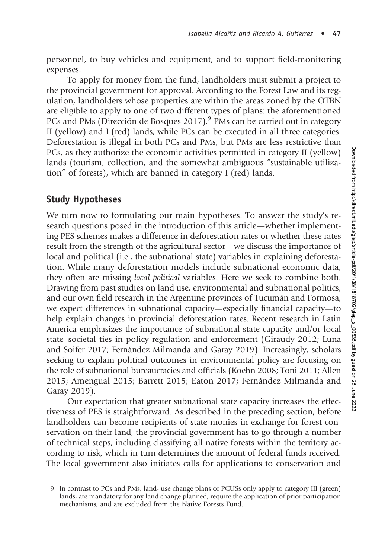personnel, to buy vehicles and equipment, and to support field-monitoring expenses.

To apply for money from the fund, landholders must submit a project to the provincial government for approval. According to the Forest Law and its regulation, landholders whose properties are within the areas zoned by the OTBN are eligible to apply to one of two different types of plans: the aforementioned PCs and PMs (Dirección de Bosques 2017).<sup>9</sup> PMs can be carried out in category II (yellow) and I (red) lands, while PCs can be executed in all three categories. Deforestation is illegal in both PCs and PMs, but PMs are less restrictive than PCs, as they authorize the economic activities permitted in category II (yellow) lands (tourism, collection, and the somewhat ambiguous "sustainable utilization" of forests), which are banned in category I (red) lands.

# Study Hypotheses

We turn now to formulating our main hypotheses. To answer the study's research questions posed in the introduction of this article—whether implementing PES schemes makes a difference in deforestation rates or whether these rates result from the strength of the agricultural sector—we discuss the importance of local and political (i.e., the subnational state) variables in explaining deforestation. While many deforestation models include subnational economic data, they often are missing local political variables. Here we seek to combine both. Drawing from past studies on land use, environmental and subnational politics, and our own field research in the Argentine provinces of Tucumán and Formosa, we expect differences in subnational capacity—especially financial capacity—to help explain changes in provincial deforestation rates. Recent research in Latin America emphasizes the importance of subnational state capacity and/or local state–societal ties in policy regulation and enforcement (Giraudy 2012; Luna and Soifer 2017; Fernández Milmanda and Garay 2019). Increasingly, scholars seeking to explain political outcomes in environmental policy are focusing on the role of subnational bureaucracies and officials (Koehn 2008; Toni 2011; Allen 2015; Amengual 2015; Barrett 2015; Eaton 2017; Fernández Milmanda and Garay 2019).

Our expectation that greater subnational state capacity increases the effectiveness of PES is straightforward. As described in the preceding section, before landholders can become recipients of state monies in exchange for forest conservation on their land, the provincial government has to go through a number of technical steps, including classifying all native forests within the territory according to risk, which in turn determines the amount of federal funds received. The local government also initiates calls for applications to conservation and

<sup>9.</sup> In contrast to PCs and PMs, land- use change plans or PCUSs only apply to category III (green) lands, are mandatory for any land change planned, require the application of prior participation mechanisms, and are excluded from the Native Forests Fund.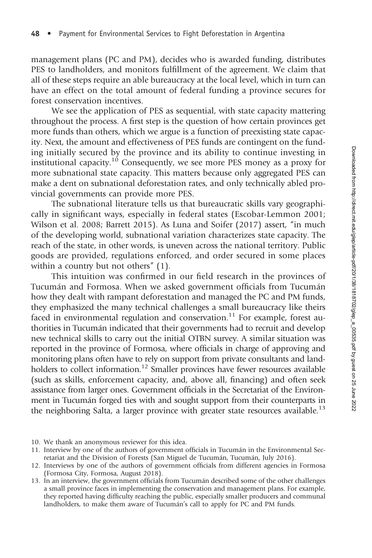management plans (PC and PM), decides who is awarded funding, distributes PES to landholders, and monitors fulfillment of the agreement. We claim that all of these steps require an able bureaucracy at the local level, which in turn can have an effect on the total amount of federal funding a province secures for forest conservation incentives.

We see the application of PES as sequential, with state capacity mattering throughout the process. A first step is the question of how certain provinces get more funds than others, which we argue is a function of preexisting state capacity. Next, the amount and effectiveness of PES funds are contingent on the funding initially secured by the province and its ability to continue investing in institutional capacity.<sup>10</sup> Consequently, we see more PES money as a proxy for more subnational state capacity. This matters because only aggregated PES can make a dent on subnational deforestation rates, and only technically abled provincial governments can provide more PES.

The subnational literature tells us that bureaucratic skills vary geographically in significant ways, especially in federal states (Escobar-Lemmon 2001; Wilson et al. 2008; Barrett 2015). As Luna and Soifer (2017) assert, "in much of the developing world, subnational variation characterizes state capacity. The reach of the state, in other words, is uneven across the national territory. Public goods are provided, regulations enforced, and order secured in some places within a country but not others" (1).

This intuition was confirmed in our field research in the provinces of Tucumán and Formosa. When we asked government officials from Tucumán how they dealt with rampant deforestation and managed the PC and PM funds, they emphasized the many technical challenges a small bureaucracy like theirs faced in environmental regulation and conservation.<sup>11</sup> For example, forest authorities in Tucumán indicated that their governments had to recruit and develop new technical skills to carry out the initial OTBN survey. A similar situation was reported in the province of Formosa, where officials in charge of approving and monitoring plans often have to rely on support from private consultants and landholders to collect information.<sup>12</sup> Smaller provinces have fewer resources available (such as skills, enforcement capacity, and, above all, financing) and often seek assistance from larger ones. Government officials in the Secretariat of the Environment in Tucumán forged ties with and sought support from their counterparts in the neighboring Salta, a larger province with greater state resources available.<sup>13</sup>

- 10. We thank an anonymous reviewer for this idea.
- 11. Interview by one of the authors of government officials in Tucumán in the Environmental Secretariat and the Division of Forests (San Miguel de Tucumán, Tucumán, July 2016).
- 12. Interviews by one of the authors of government officials from different agencies in Formosa (Formosa City, Formosa, August 2018).
- 13. In an interview, the government officials from Tucumán described some of the other challenges a small province faces in implementing the conservation and management plans. For example, they reported having difficulty reaching the public, especially smaller producers and communal landholders, to make them aware of Tucumán's call to apply for PC and PM funds.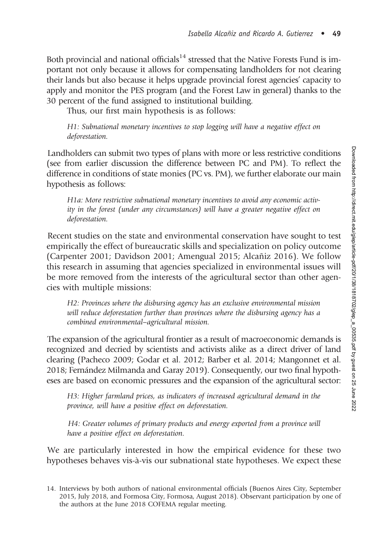Both provincial and national officials<sup>14</sup> stressed that the Native Forests Fund is important not only because it allows for compensating landholders for not clearing their lands but also because it helps upgrade provincial forest agencies' capacity to apply and monitor the PES program (and the Forest Law in general) thanks to the 30 percent of the fund assigned to institutional building.

Thus, our first main hypothesis is as follows:

H1: Subnational monetary incentives to stop logging will have a negative effect on deforestation.

Landholders can submit two types of plans with more or less restrictive conditions (see from earlier discussion the difference between PC and PM). To reflect the difference in conditions of state monies (PC vs. PM), we further elaborate our main hypothesis as follows:

H1a: More restrictive subnational monetary incentives to avoid any economic activity in the forest (under any circumstances) will have a greater negative effect on deforestation.

Recent studies on the state and environmental conservation have sought to test empirically the effect of bureaucratic skills and specialization on policy outcome (Carpenter 2001; Davidson 2001; Amengual 2015; Alcañiz 2016). We follow this research in assuming that agencies specialized in environmental issues will be more removed from the interests of the agricultural sector than other agencies with multiple missions:

H2: Provinces where the disbursing agency has an exclusive environmental mission will reduce deforestation further than provinces where the disbursing agency has a combined environmental–agricultural mission.

The expansion of the agricultural frontier as a result of macroeconomic demands is recognized and decried by scientists and activists alike as a direct driver of land clearing (Pacheco 2009; Godar et al. 2012; Barber et al. 2014; Mangonnet et al. 2018; Fernández Milmanda and Garay 2019). Consequently, our two final hypotheses are based on economic pressures and the expansion of the agricultural sector:

H3: Higher farmland prices, as indicators of increased agricultural demand in the province, will have a positive effect on deforestation.

H4: Greater volumes of primary products and energy exported from a province will have a positive effect on deforestation.

We are particularly interested in how the empirical evidence for these two hypotheses behaves vis-à-vis our subnational state hypotheses. We expect these

<sup>14.</sup> Interviews by both authors of national environmental officials (Buenos Aires City, September 2015, July 2018, and Formosa City, Formosa, August 2018). Observant participation by one of the authors at the June 2018 COFEMA regular meeting.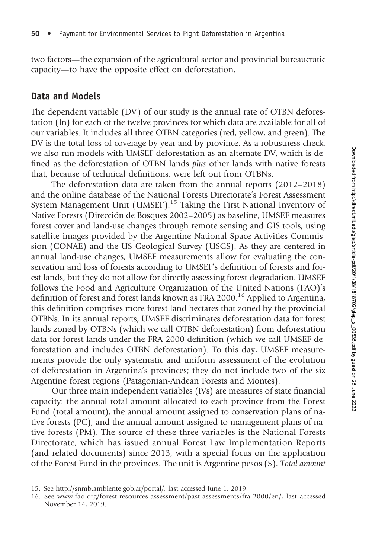two factors—the expansion of the agricultural sector and provincial bureaucratic capacity—to have the opposite effect on deforestation.

#### Data and Models

The dependent variable (DV) of our study is the annual rate of OTBN deforestation (ln) for each of the twelve provinces for which data are available for all of our variables. It includes all three OTBN categories (red, yellow, and green). The DV is the total loss of coverage by year and by province. As a robustness check, we also run models with UMSEF deforestation as an alternate DV, which is defined as the deforestation of OTBN lands plus other lands with native forests that, because of technical definitions, were left out from OTBNs.

The deforestation data are taken from the annual reports (2012–2018) and the online database of the National Forests Directorate's Forest Assessment System Management Unit (UMSEF).<sup>15</sup> Taking the First National Inventory of Native Forests (Dirección de Bosques 2002–2005) as baseline, UMSEF measures forest cover and land-use changes through remote sensing and GIS tools, using satellite images provided by the Argentine National Space Activities Commission (CONAE) and the US Geological Survey (USGS). As they are centered in annual land-use changes, UMSEF measurements allow for evaluating the conservation and loss of forests according to UMSEF's definition of forests and forest lands, but they do not allow for directly assessing forest degradation. UMSEF follows the Food and Agriculture Organization of the United Nations (FAO)'s definition of forest and forest lands known as FRA 2000.<sup>16</sup> Applied to Argentina, this definition comprises more forest land hectares that zoned by the provincial OTBNs. In its annual reports, UMSEF discriminates deforestation data for forest lands zoned by OTBNs (which we call OTBN deforestation) from deforestation data for forest lands under the FRA 2000 definition (which we call UMSEF deforestation and includes OTBN deforestation). To this day, UMSEF measurements provide the only systematic and uniform assessment of the evolution of deforestation in Argentina's provinces; they do not include two of the six Argentine forest regions (Patagonian-Andean Forests and Montes).

Our three main independent variables (IVs) are measures of state financial capacity: the annual total amount allocated to each province from the Forest Fund (total amount), the annual amount assigned to conservation plans of native forests (PC), and the annual amount assigned to management plans of native forests (PM). The source of these three variables is the National Forests Directorate, which has issued annual Forest Law Implementation Reports (and related documents) since 2013, with a special focus on the application of the Forest Fund in the provinces. The unit is Argentine pesos  $(\$)$ . Total amount

<sup>15.</sup> See http://snmb.ambiente.gob.ar/portal/, last accessed June 1, 2019.

<sup>16.</sup> See www.fao.org/forest-resources-assessment/past-assessments/fra-2000/en/, last accessed November 14, 2019.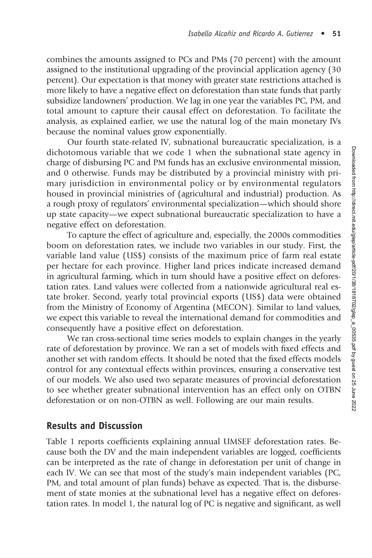combines the amounts assigned to PCs and PMs (70 percent) with the amount assigned to the institutional upgrading of the provincial application agency (30 percent). Our expectation is that money with greater state restrictions attached is more likely to have a negative effect on deforestation than state funds that partly subsidize landowners' production. We lag in one year the variables PC, PM, and total amount to capture their causal effect on deforestation. To facilitate the analysis, as explained earlier, we use the natural log of the main monetary IVs because the nominal values grow exponentially.

Our fourth state-related IV, subnational bureaucratic specialization, is a dichotomous variable that we code 1 when the subnational state agency in charge of disbursing PC and PM funds has an exclusive environmental mission, and 0 otherwise. Funds may be distributed by a provincial ministry with primary jurisdiction in environmental policy or by environmental regulators housed in provincial ministries of (agricultural and industrial) production. As a rough proxy of regulators' environmental specialization—which should shore up state capacity—we expect subnational bureaucratic specialization to have a negative effect on deforestation.

To capture the effect of agriculture and, especially, the 2000s commodities boom on deforestation rates, we include two variables in our study. First, the variable land value (US\$) consists of the maximum price of farm real estate per hectare for each province. Higher land prices indicate increased demand in agricultural farming, which in turn should have a positive effect on deforestation rates. Land values were collected from a nationwide agricultural real estate broker. Second, yearly total provincial exports (US\$) data were obtained from the Ministry of Economy of Argentina (MECON). Similar to land values, we expect this variable to reveal the international demand for commodities and consequently have a positive effect on deforestation.

We ran cross-sectional time series models to explain changes in the yearly rate of deforestation by province. We ran a set of models with fixed effects and another set with random effects. It should be noted that the fixed effects models control for any contextual effects within provinces, ensuring a conservative test of our models. We also used two separate measures of provincial deforestation to see whether greater subnational intervention has an effect only on OTBN deforestation or on non-OTBN as well. Following are our main results.

# Results and Discussion

Table 1 reports coefficients explaining annual UMSEF deforestation rates. Because both the DV and the main independent variables are logged, coefficients can be interpreted as the rate of change in deforestation per unit of change in each IV. We can see that most of the study's main independent variables (PC, PM, and total amount of plan funds) behave as expected. That is, the disbursement of state monies at the subnational level has a negative effect on deforestation rates. In model 1, the natural log of PC is negative and significant, as well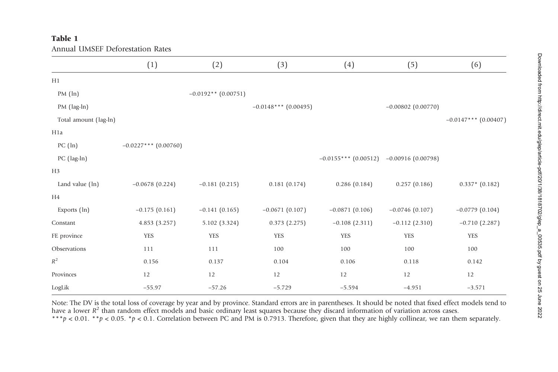#### Table 1Annual UMSEF Deforestation Rates

|                       | (1)                    | (2)                   | (3)                    | (4)                                         | (5)                  | (6)                    |
|-----------------------|------------------------|-----------------------|------------------------|---------------------------------------------|----------------------|------------------------|
| H1                    |                        |                       |                        |                                             |                      |                        |
| PM (ln)               |                        | $-0.0192**$ (0.00751) |                        |                                             |                      |                        |
| PM (lag-ln)           |                        |                       | $-0.0148***$ (0.00495) |                                             | $-0.00802$ (0.00770) |                        |
| Total amount (lag-ln) |                        |                       |                        |                                             |                      | $-0.0147***$ (0.00407) |
| H1a                   |                        |                       |                        |                                             |                      |                        |
| PC (ln)               | $-0.0227***$ (0.00760) |                       |                        |                                             |                      |                        |
| PC (lag-ln)           |                        |                       |                        | $-0.0155***$ (0.00512) $-0.00916$ (0.00798) |                      |                        |
| H <sub>3</sub>        |                        |                       |                        |                                             |                      |                        |
| Land value (ln)       | $-0.0678(0.224)$       | $-0.181(0.215)$       | 0.181(0.174)           | 0.286(0.184)                                | 0.257(0.186)         | $0.337*$ (0.182)       |
| H <sub>4</sub>        |                        |                       |                        |                                             |                      |                        |
| Exports (ln)          | $-0.175(0.161)$        | $-0.141(0.165)$       | $-0.0671(0.107)$       | $-0.0871(0.106)$                            | $-0.0746(0.107)$     | $-0.0779(0.104)$       |
| Constant              | 4.853 (3.257)          | 5.102 (3.324)         | 0.373(2.275)           | $-0.108(2.311)$                             | $-0.112(2.310)$      | $-0.710(2.287)$        |
| FE province           | <b>YES</b>             | <b>YES</b>            | <b>YES</b>             | <b>YES</b>                                  | <b>YES</b>           | <b>YES</b>             |
| Observations          | 111                    | 111                   | 100                    | 100                                         | 100                  | 100                    |
| $R^2$                 | 0.156                  | 0.137                 | 0.104                  | 0.106                                       | 0.118                | 0.142                  |
| Provinces             | 12                     | 12                    | 12                     | 12                                          | 12                   | 12                     |
| LogLik                | $-55.97$               | $-57.26$              | $-5.729$               | $-5.594$                                    | $-4.951$             | $-3.571$               |

Note: The DV is the total loss of coverage by year and by province. Standard errors are in parentheses. It should be noted that fixed effect models tend to<br>have a lower R<sup>2</sup> than random effect models and basic ordinary lea \*\*\*p < 0.01. \*\*p < 0.05. \*p < 0.1. Correlation between PC and PM is 0.7913. Therefore, given that they are highly collinear, we ran them separately.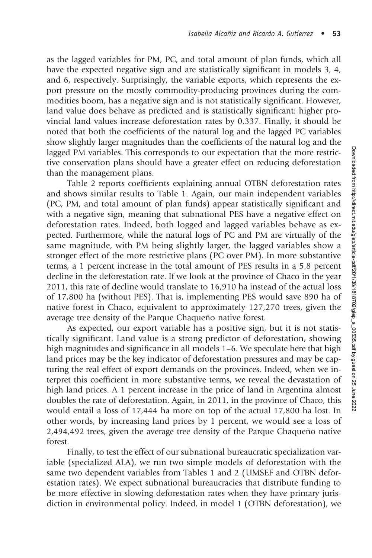as the lagged variables for PM, PC, and total amount of plan funds, which all have the expected negative sign and are statistically significant in models 3, 4, and 6, respectively. Surprisingly, the variable exports, which represents the export pressure on the mostly commodity-producing provinces during the commodities boom, has a negative sign and is not statistically significant. However, land value does behave as predicted and is statistically significant: higher provincial land values increase deforestation rates by 0.337. Finally, it should be noted that both the coefficients of the natural log and the lagged PC variables show slightly larger magnitudes than the coefficients of the natural log and the lagged PM variables. This corresponds to our expectation that the more restrictive conservation plans should have a greater effect on reducing deforestation than the management plans.

Table 2 reports coefficients explaining annual OTBN deforestation rates and shows similar results to Table 1. Again, our main independent variables (PC, PM, and total amount of plan funds) appear statistically significant and with a negative sign, meaning that subnational PES have a negative effect on deforestation rates. Indeed, both logged and lagged variables behave as expected. Furthermore, while the natural logs of PC and PM are virtually of the same magnitude, with PM being slightly larger, the lagged variables show a stronger effect of the more restrictive plans (PC over PM). In more substantive terms, a 1 percent increase in the total amount of PES results in a 5.8 percent decline in the deforestation rate. If we look at the province of Chaco in the year 2011, this rate of decline would translate to 16,910 ha instead of the actual loss of 17,800 ha (without PES). That is, implementing PES would save 890 ha of native forest in Chaco, equivalent to approximately 127,270 trees, given the average tree density of the Parque Chaqueño native forest.

As expected, our export variable has a positive sign, but it is not statistically significant. Land value is a strong predictor of deforestation, showing high magnitudes and significance in all models 1–6. We speculate here that high land prices may be the key indicator of deforestation pressures and may be capturing the real effect of export demands on the provinces. Indeed, when we interpret this coefficient in more substantive terms, we reveal the devastation of high land prices. A 1 percent increase in the price of land in Argentina almost doubles the rate of deforestation. Again, in 2011, in the province of Chaco, this would entail a loss of 17,444 ha more on top of the actual 17,800 ha lost. In other words, by increasing land prices by 1 percent, we would see a loss of 2,494,492 trees, given the average tree density of the Parque Chaqueño native forest.

Finally, to test the effect of our subnational bureaucratic specialization variable (specialized ALA), we run two simple models of deforestation with the same two dependent variables from Tables 1 and 2 (UMSEF and OTBN deforestation rates). We expect subnational bureaucracies that distribute funding to be more effective in slowing deforestation rates when they have primary jurisdiction in environmental policy. Indeed, in model 1 (OTBN deforestation), we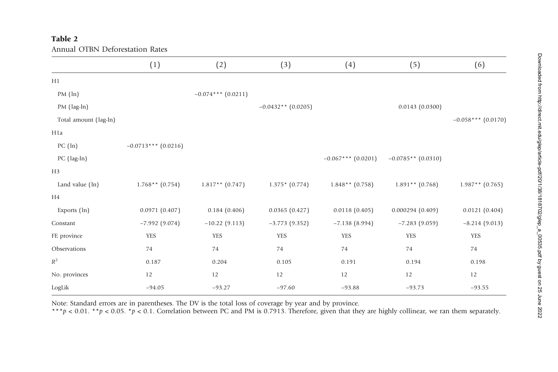#### Table 2Annual OTBN Deforestation Rates

|                       | (1)                   | (2)                  | (3)                  | (4)                  | (5)                  | (6)                  |
|-----------------------|-----------------------|----------------------|----------------------|----------------------|----------------------|----------------------|
| H1                    |                       |                      |                      |                      |                      |                      |
| PM (ln)               |                       | $-0.074***$ (0.0211) |                      |                      |                      |                      |
| PM (lag-ln)           |                       |                      | $-0.0432**$ (0.0205) |                      | 0.0143(0.0300)       |                      |
| Total amount (lag-ln) |                       |                      |                      |                      |                      | $-0.058***$ (0.0170) |
| H <sub>1</sub> a      |                       |                      |                      |                      |                      |                      |
| PC (ln)               | $-0.0713***$ (0.0216) |                      |                      |                      |                      |                      |
| PC (lag-ln)           |                       |                      |                      | $-0.067***$ (0.0201) | $-0.0785**$ (0.0310) |                      |
| H <sub>3</sub>        |                       |                      |                      |                      |                      |                      |
| Land value (ln)       | $1.768**$ (0.754)     | $1.817**$ (0.747)    | $1.375*$ (0.774)     | $1.848**$ (0.758)    | $1.891**$ (0.768)    | $1.987**$ (0.765)    |
| H <sub>4</sub>        |                       |                      |                      |                      |                      |                      |
| Exports (ln)          | 0.0971(0.407)         | 0.184(0.406)         | 0.0365(0.427)        | 0.0118(0.405)        | 0.000294(0.409)      | 0.0121(0.404)        |
| Constant              | $-7.992(9.074)$       | $-10.22(9.113)$      | $-3.773(9.352)$      | $-7.138(8.994)$      | $-7.283(9.059)$      | $-8.214(9.013)$      |
| FE province           | <b>YES</b>            | <b>YES</b>           | <b>YES</b>           | <b>YES</b>           | <b>YES</b>           | <b>YES</b>           |
| Observations          | 74                    | 74                   | 74                   | 74                   | 74                   | 74                   |
| $\mathbb{R}^2$        | 0.187                 | 0.204                | 0.105                | 0.191                | 0.194                | 0.198                |
| No. provinces         | 12                    | 12                   | 12                   | 12                   | 12                   | 12                   |
| LogLik                | $-94.05$              | $-93.27$             | $-97.60$             | $-93.88$             | $-93.73$             | $-93.55$             |

Note: Standard errors are in parentheses. The DV is the total loss of coverage by year and by province.

\*\*\*p < 0.01. \*\*p < 0.05. \*p < 0.1. Correlation between PC and PM is 0.7913. Therefore, given that they are highly collinear, we ran them separately.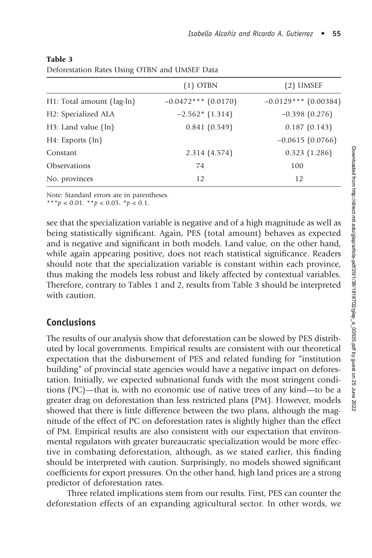|                                  | $(1)$ OTBN            | $(2)$ UMSEF            |
|----------------------------------|-----------------------|------------------------|
| H1: Total amount (lag-ln)        | $-0.0472***$ (0.0170) | $-0.0129***$ (0.00384) |
| H <sub>2</sub> : Specialized ALA | $-2.562*(1.314)$      | $-0.398(0.276)$        |
| $H3$ : Land value $(\ln)$        | 0.841(0.549)          | 0.187(0.143)           |
| H4: Exports (ln)                 |                       | $-0.0615(0.0766)$      |
| Constant                         | 2.314 (4.574)         | 0.323(1.286)           |
| <b>Observations</b>              | 74                    | 100                    |
| No. provinces                    | 12                    | 12                     |
|                                  |                       |                        |

#### Table 3

Deforestation Rates Using OTBN and UMSEF Data

Note: Standard errors are in parentheses.

\*\*\*p < 0.01. \*\*p < 0.05. \*p < 0.1.

see that the specialization variable is negative and of a high magnitude as well as being statistically significant. Again, PES (total amount) behaves as expected and is negative and significant in both models. Land value, on the other hand, while again appearing positive, does not reach statistical significance. Readers should note that the specialization variable is constant within each province, thus making the models less robust and likely affected by contextual variables. Therefore, contrary to Tables 1 and 2, results from Table 3 should be interpreted with caution.

# Conclusions

The results of our analysis show that deforestation can be slowed by PES distributed by local governments. Empirical results are consistent with our theoretical expectation that the disbursement of PES and related funding for "institution building" of provincial state agencies would have a negative impact on deforestation. Initially, we expected subnational funds with the most stringent conditions (PC)—that is, with no economic use of native trees of any kind—to be a greater drag on deforestation than less restricted plans (PM). However, models showed that there is little difference between the two plans, although the magnitude of the effect of PC on deforestation rates is slightly higher than the effect of PM. Empirical results are also consistent with our expectation that environmental regulators with greater bureaucratic specialization would be more effective in combating deforestation, although, as we stated earlier, this finding should be interpreted with caution. Surprisingly, no models showed significant coefficients for export pressures. On the other hand, high land prices are a strong predictor of deforestation rates.

Three related implications stem from our results. First, PES can counter the deforestation effects of an expanding agricultural sector. In other words, we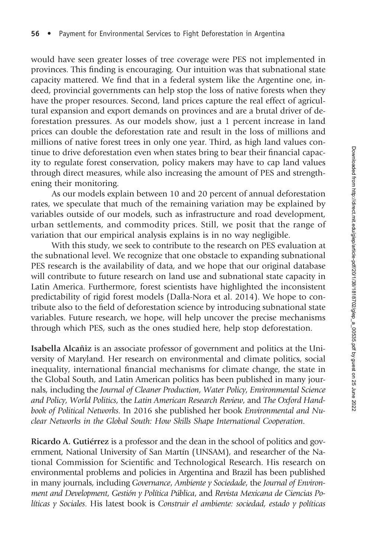would have seen greater losses of tree coverage were PES not implemented in provinces. This finding is encouraging. Our intuition was that subnational state capacity mattered. We find that in a federal system like the Argentine one, indeed, provincial governments can help stop the loss of native forests when they have the proper resources. Second, land prices capture the real effect of agricultural expansion and export demands on provinces and are a brutal driver of deforestation pressures. As our models show, just a 1 percent increase in land prices can double the deforestation rate and result in the loss of millions and millions of native forest trees in only one year. Third, as high land values continue to drive deforestation even when states bring to bear their financial capacity to regulate forest conservation, policy makers may have to cap land values through direct measures, while also increasing the amount of PES and strengthening their monitoring.

As our models explain between 10 and 20 percent of annual deforestation rates, we speculate that much of the remaining variation may be explained by variables outside of our models, such as infrastructure and road development, urban settlements, and commodity prices. Still, we posit that the range of variation that our empirical analysis explains is in no way negligible.

With this study, we seek to contribute to the research on PES evaluation at the subnational level. We recognize that one obstacle to expanding subnational PES research is the availability of data, and we hope that our original database will contribute to future research on land use and subnational state capacity in Latin America. Furthermore, forest scientists have highlighted the inconsistent predictability of rigid forest models (Dalla-Nora et al. 2014). We hope to contribute also to the field of deforestation science by introducing subnational state variables. Future research, we hope, will help uncover the precise mechanisms through which PES, such as the ones studied here, help stop deforestation.

Isabella Alcañiz is an associate professor of government and politics at the University of Maryland. Her research on environmental and climate politics, social inequality, international financial mechanisms for climate change, the state in the Global South, and Latin American politics has been published in many journals, including the Journal of Cleaner Production, Water Policy, Environmental Science and Policy, World Politics, the Latin American Research Review, and The Oxford Handbook of Political Networks. In 2016 she published her book Environmental and Nuclear Networks in the Global South: How Skills Shape International Cooperation.

Ricardo A. Gutiérrez is a professor and the dean in the school of politics and government, National University of San Martín (UNSAM), and researcher of the National Commission for Scientific and Technological Research. His research on environmental problems and policies in Argentina and Brazil has been published in many journals, including Governance, Ambiente y Sociedade, the Journal of Environment and Development, Gestión y Política Pública, and Revista Mexicana de Ciencias Políticas y Sociales. His latest book is Construir el ambiente: sociedad, estado y políticas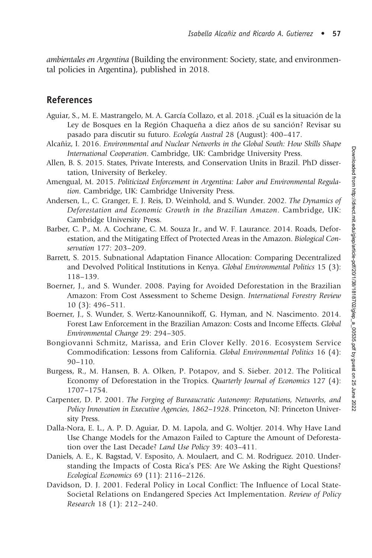ambientales en Argentina (Building the environment: Society, state, and environmental policies in Argentina), published in 2018.

### References

- Aguiar, S., M. E. Mastrangelo, M. A. García Collazo, et al. 2018. ¿Cuál es la situación de la Ley de Bosques en la Región Chaqueña a diez años de su sanción? Revisar su pasado para discutir su futuro. Ecología Austral 28 (August): 400–417.
- Alcañiz, I. 2016. Environmental and Nuclear Networks in the Global South: How Skills Shape International Cooperation. Cambridge, UK: Cambridge University Press.
- Allen, B. S. 2015. States, Private Interests, and Conservation Units in Brazil. PhD dissertation, University of Berkeley.
- Amengual, M. 2015. Politicized Enforcement in Argentina: Labor and Environmental Regulation. Cambridge, UK: Cambridge University Press.
- Andersen, L., C. Granger, E. J. Reis, D. Weinhold, and S. Wunder. 2002. The Dynamics of Deforestation and Economic Growth in the Brazilian Amazon. Cambridge, UK: Cambridge University Press.
- Barber, C. P., M. A. Cochrane, C. M. Souza Jr., and W. F. Laurance. 2014. Roads, Deforestation, and the Mitigating Effect of Protected Areas in the Amazon. Biological Conservation 177: 203–209.
- Barrett, S. 2015. Subnational Adaptation Finance Allocation: Comparing Decentralized and Devolved Political Institutions in Kenya. Global Environmental Politics 15 (3): 118–139.
- Boerner, J., and S. Wunder. 2008. Paying for Avoided Deforestation in the Brazilian Amazon: From Cost Assessment to Scheme Design. International Forestry Review 10 (3): 496–511.
- Boerner, J., S. Wunder, S. Wertz-Kanounnikoff, G. Hyman, and N. Nascimento. 2014. Forest Law Enforcement in the Brazilian Amazon: Costs and Income Effects. Global Environmental Change 29: 294–305.
- Bongiovanni Schmitz, Marissa, and Erin Clover Kelly. 2016. Ecosystem Service Commodification: Lessons from California. Global Environmental Politics 16 (4):  $90 - 110$ .
- Burgess, R., M. Hansen, B. A. Olken, P. Potapov, and S. Sieber. 2012. The Political Economy of Deforestation in the Tropics. Quarterly Journal of Economics 127 (4): 1707–1754.
- Carpenter, D. P. 2001. The Forging of Bureaucratic Autonomy: Reputations, Networks, and Policy Innovation in Executive Agencies, 1862–1928. Princeton, NJ: Princeton University Press.
- Dalla-Nora, E. L., A. P. D. Aguiar, D. M. Lapola, and G. Woltjer. 2014. Why Have Land Use Change Models for the Amazon Failed to Capture the Amount of Deforestation over the Last Decade? Land Use Policy 39: 403–411.
- Daniels, A. E., K. Bagstad, V. Esposito, A. Moulaert, and C. M. Rodriguez. 2010. Understanding the Impacts of Costa Rica's PES: Are We Asking the Right Questions? Ecological Economics 69 (11): 2116–2126.
- Davidson, D. J. 2001. Federal Policy in Local Conflict: The Influence of Local State-Societal Relations on Endangered Species Act Implementation. Review of Policy Research 18 (1): 212–240.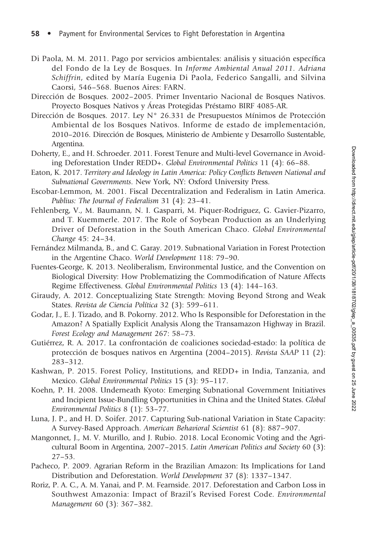- Di Paola, M. M. 2011. Pago por servicios ambientales: análisis y situación específica del Fondo de la Ley de Bosques. In Informe Ambiental Anual 2011. Adriana Schiffrin, edited by María Eugenia Di Paola, Federico Sangalli, and Silvina Caorsi, 546–568. Buenos Aires: FARN.
- Dirección de Bosques. 2002–2005. Primer Inventario Nacional de Bosques Nativos. Proyecto Bosques Nativos y Áreas Protegidas Préstamo BIRF 4085-AR.
- Dirección de Bosques. 2017. Ley N° 26.331 de Presupuestos Mínimos de Protección Ambiental de los Bosques Nativos. Informe de estado de implementación, 2010–2016. Dirección de Bosques, Ministerio de Ambiente y Desarrollo Sustentable, Argentina.
- Doherty, E., and H. Schroeder. 2011. Forest Tenure and Multi-level Governance in Avoiding Deforestation Under REDD+. Global Environmental Politics 11 (4): 66–88.
- Eaton, K. 2017. Territory and Ideology in Latin America: Policy Conflicts Between National and Subnational Governments. New York, NY: Oxford University Press.
- Escobar-Lemmon, M. 2001. Fiscal Decentralization and Federalism in Latin America. Publius: The Journal of Federalism 31 (4): 23–41.
- Fehlenberg, V., M. Baumann, N. I. Gasparri, M. Piquer-Rodriguez, G. Gavier-Pizarro, and T. Kuemmerle. 2017. The Role of Soybean Production as an Underlying Driver of Deforestation in the South American Chaco. Global Environmental Change 45: 24–34.
- Fernández Milmanda, B., and C. Garay. 2019. Subnational Variation in Forest Protection in the Argentine Chaco. World Development 118: 79–90.
- Fuentes-George, K. 2013. Neoliberalism, Environmental Justice, and the Convention on Biological Diversity: How Problematizing the Commodification of Nature Affects Regime Effectiveness. Global Environmental Politics 13 (4): 144–163.
- Giraudy, A. 2012. Conceptualizing State Strength: Moving Beyond Strong and Weak States. Revista de Ciencia Política 32 (3): 599–611.
- Godar, J., E. J. Tizado, and B. Pokorny. 2012. Who Is Responsible for Deforestation in the Amazon? A Spatially Explicit Analysis Along the Transamazon Highway in Brazil. Forest Ecology and Management 267: 58–73.
- Gutiérrez, R. A. 2017. La confrontación de coaliciones sociedad-estado: la política de protección de bosques nativos en Argentina (2004–2015). Revista SAAP 11 (2): 283–312.
- Kashwan, P. 2015. Forest Policy, Institutions, and REDD+ in India, Tanzania, and Mexico. Global Environmental Politics 15 (3): 95–117.
- Koehn, P. H. 2008. Underneath Kyoto: Emerging Subnational Government Initiatives and Incipient Issue-Bundling Opportunities in China and the United States. Global Environmental Politics 8 (1): 53–77.
- Luna, J. P., and H. D. Soifer. 2017. Capturing Sub-national Variation in State Capacity: A Survey-Based Approach. American Behavioral Scientist 61 (8): 887–907.
- Mangonnet, J., M. V. Murillo, and J. Rubio. 2018. Local Economic Voting and the Agricultural Boom in Argentina, 2007–2015. Latin American Politics and Society 60 (3): 27–53.
- Pacheco, P. 2009. Agrarian Reform in the Brazilian Amazon: Its Implications for Land Distribution and Deforestation. World Development 37 (8): 1337–1347.
- Roriz, P. A. C., A. M. Yanai, and P. M. Fearnside. 2017. Deforestation and Carbon Loss in Southwest Amazonia: Impact of Brazil's Revised Forest Code. Environmental Management 60 (3): 367–382.